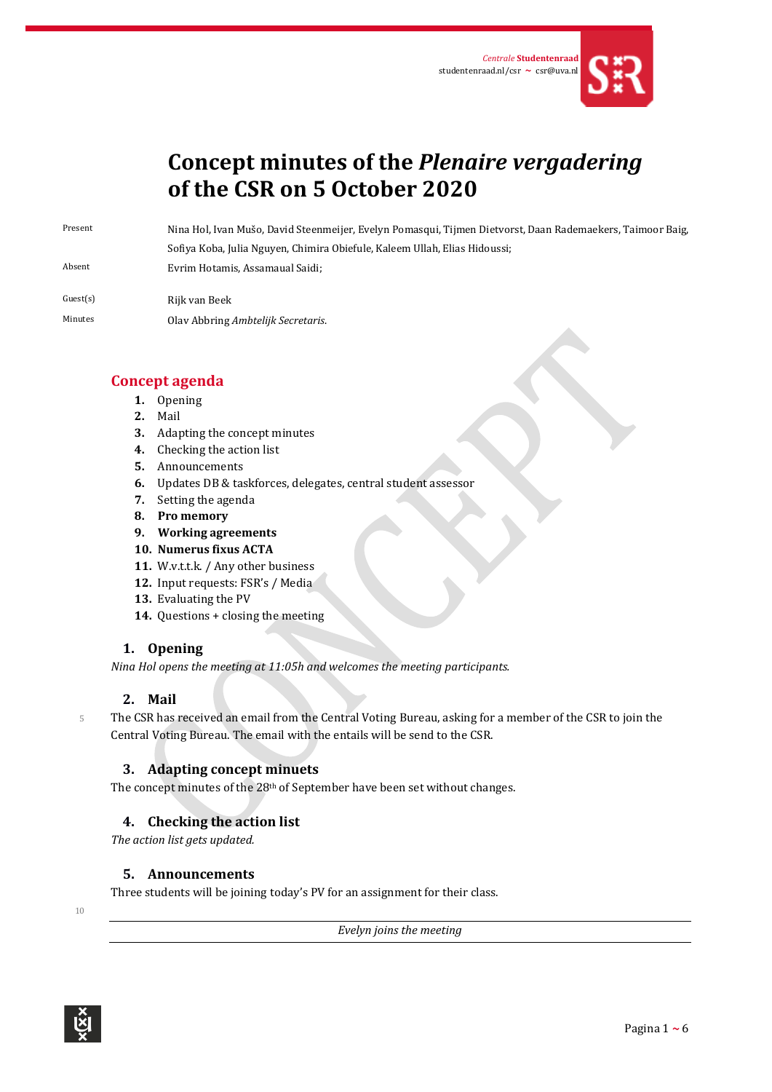

# **Concept minutes of the** *Plenaire vergadering* **of the CSR on 5 October 2020**

Present Nina Hol, Ivan Mušo, David Steenmeijer, Evelyn Pomasqui, Tijmen Dietvorst, Daan Rademaekers, Taimoor Baig, Sofiya Koba, Julia Nguyen, Chimira Obiefule, Kaleem Ullah, Elias Hidoussi;

Absent Evrim Hotamis, Assamaual Saidi;

Guest(s) Rijk van Beek Minutes Olav Abbring *Ambtelijk Secretaris*.

## **Concept agenda**

- **1.** Opening
- **2.** Mail
- **3.** Adapting the concept minutes
- **4.** Checking the action list
- **5.** Announcements
- **6.** Updates DB & taskforces, delegates, central student assessor
- **7.** Setting the agenda
- **8. Pro memory**
- **9. Working agreements**
- **10. Numerus fixus ACTA**
- **11.** W.v.t.t.k. / Any other business
- **12.** Input requests: FSR's / Media
- **13.** Evaluating the PV
- **14.** Questions + closing the meeting

## **1. Opening**

*Nina Hol opens the meeting at 11:05h and welcomes the meeting participants.* 

## **2. Mail**

5 The CSR has received an email from the Central Voting Bureau, asking for a member of the CSR to join the Central Voting Bureau. The email with the entails will be send to the CSR.

## **3. Adapting concept minuets**

The concept minutes of the 28<sup>th</sup> of September have been set without changes.

## **4. Checking the action list**

*The action list gets updated.*

## **5. Announcements**

Three students will be joining today's PV for an assignment for their class.

10

*Evelyn joins the meeting*

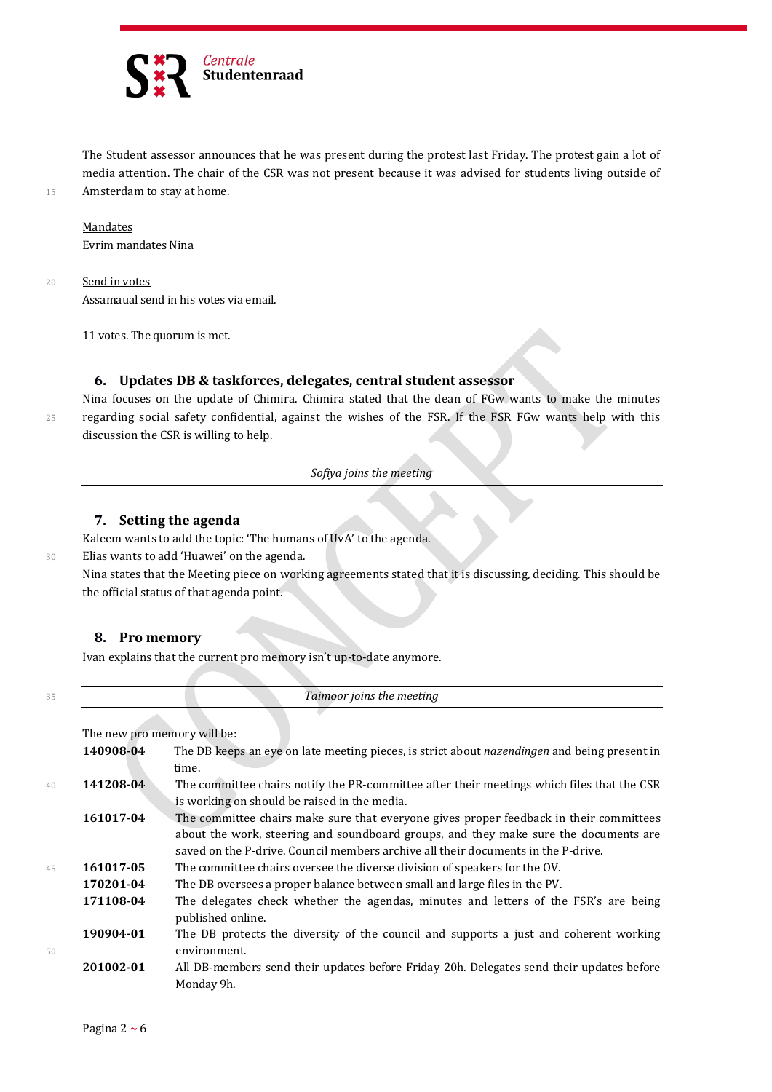

The Student assessor announces that he was present during the protest last Friday. The protest gain a lot of media attention. The chair of the CSR was not present because it was advised for students living outside of 15 Amsterdam to stay at home.

#### **Mandates**

Evrim mandates Nina

20 Send in votes

Assamaual send in his votes via email.

11 votes. The quorum is met.

#### **6. Updates DB & taskforces, delegates, central student assessor**

Nina focuses on the update of Chimira. Chimira stated that the dean of FGw wants to make the minutes 25 regarding social safety confidential, against the wishes of the FSR. If the FSR FGw wants help with this discussion the CSR is willing to help.

*Sofiya joins the meeting*

#### **7. Setting the agenda**

Kaleem wants to add the topic: 'The humans of UvA' to the agenda.

30 Elias wants to add 'Huawei' on the agenda.

Nina states that the Meeting piece on working agreements stated that it is discussing, deciding. This should be the official status of that agenda point.

#### **8. Pro memory**

Ivan explains that the current pro memory isn't up-to-date anymore.

<sup>35</sup> *Taimoor joins the meeting*

The new pro memory will be:

|    | 140908-04 | The DB keeps an eye on late meeting pieces, is strict about nazendingen and being present in |
|----|-----------|----------------------------------------------------------------------------------------------|
|    |           | time.                                                                                        |
| 40 | 141208-04 | The committee chairs notify the PR-committee after their meetings which files that the CSR   |
|    |           | is working on should be raised in the media.                                                 |
|    | 161017-04 | The committee chairs make sure that everyone gives proper feedback in their committees       |
|    |           | about the work, steering and soundboard groups, and they make sure the documents are         |
|    |           | saved on the P-drive. Council members archive all their documents in the P-drive.            |
| 45 | 161017-05 | The committee chairs oversee the diverse division of speakers for the OV.                    |
|    | 170201-04 | The DB oversees a proper balance between small and large files in the PV.                    |
|    | 171108-04 | The delegates check whether the agendas, minutes and letters of the FSR's are being          |
|    |           | published online.                                                                            |
|    | 190904-01 | The DB protects the diversity of the council and supports a just and coherent working        |
| 50 |           | environment.                                                                                 |
|    | 201002-01 | All DB-members send their updates before Friday 20h. Delegates send their updates before     |
|    |           | Monday 9h.                                                                                   |
|    |           |                                                                                              |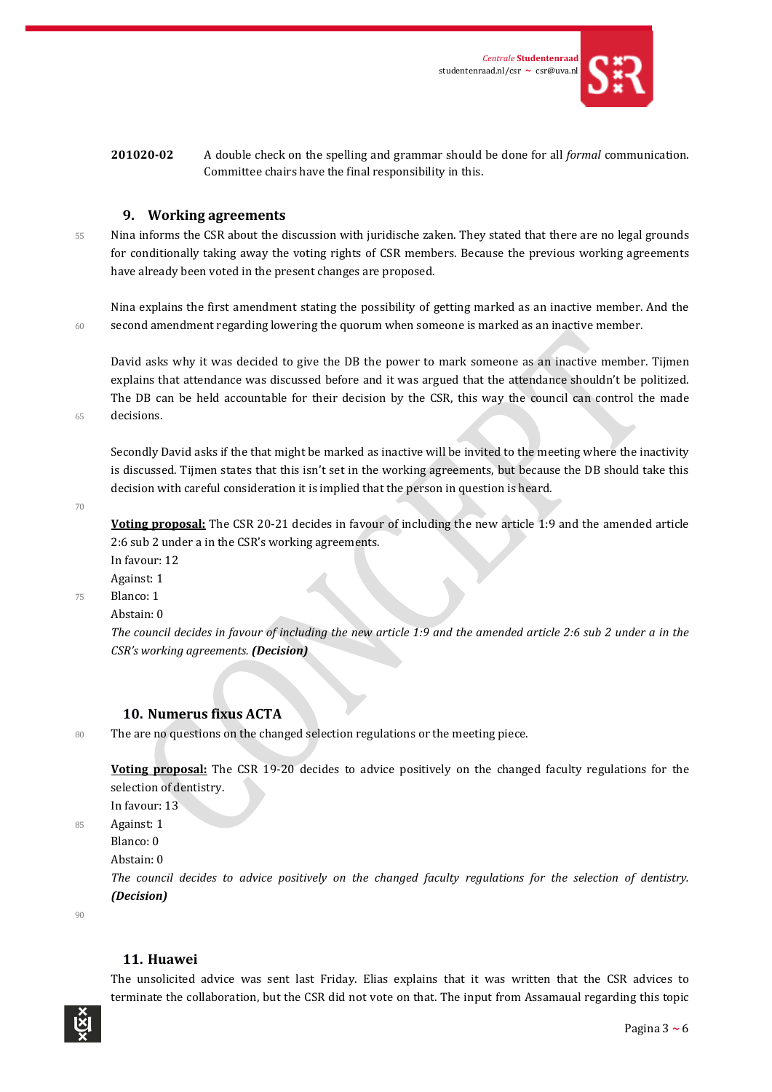

#### **9. Working agreements**

55 Nina informs the CSR about the discussion with juridische zaken. They stated that there are no legal grounds for conditionally taking away the voting rights of CSR members. Because the previous working agreements have already been voted in the present changes are proposed.

Nina explains the first amendment stating the possibility of getting marked as an inactive member. And the 60 second amendment regarding lowering the quorum when someone is marked as an inactive member.

David asks why it was decided to give the DB the power to mark someone as an inactive member. Tijmen explains that attendance was discussed before and it was argued that the attendance shouldn't be politized. The DB can be held accountable for their decision by the CSR, this way the council can control the made 65 decisions.

Secondly David asks if the that might be marked as inactive will be invited to the meeting where the inactivity is discussed. Tijmen states that this isn't set in the working agreements, but because the DB should take this decision with careful consideration it is implied that the person in question is heard.

70

**Voting proposal:** The CSR 20-21 decides in favour of including the new article 1:9 and the amended article 2:6 sub 2 under a in the CSR's working agreements.

In favour: 12

Against: 1

75 Blanco: 1

Abstain: 0

*The council decides in favour of including the new article 1:9 and the amended article 2:6 sub 2 under a in the CSR's working agreements. (Decision)*

#### **10. Numerus fixus ACTA**

80 The are no questions on the changed selection regulations or the meeting piece.

**Voting proposal:** The CSR 19-20 decides to advice positively on the changed faculty regulations for the selection of dentistry.

In favour: 13

85 Against: 1

Blanco: 0

Abstain: 0

*The council decides to advice positively on the changed faculty regulations for the selection of dentistry. (Decision)*

 $90$ 

#### **11. Huawei**

The unsolicited advice was sent last Friday. Elias explains that it was written that the CSR advices to terminate the collaboration, but the CSR did not vote on that. The input from Assamaual regarding this topic

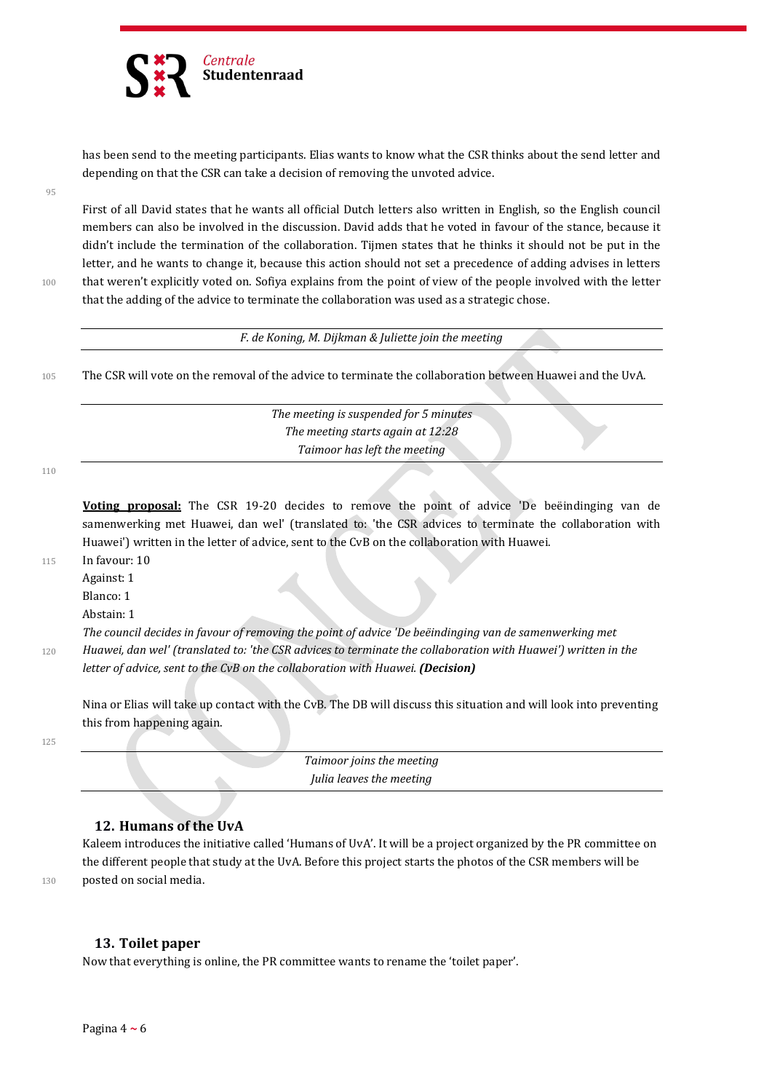

has been send to the meeting participants. Elias wants to know what the CSR thinks about the send letter and depending on that the CSR can take a decision of removing the unvoted advice.

95

First of all David states that he wants all official Dutch letters also written in English, so the English council members can also be involved in the discussion. David adds that he voted in favour of the stance, because it didn't include the termination of the collaboration. Tijmen states that he thinks it should not be put in the letter, and he wants to change it, because this action should not set a precedence of adding advises in letters 100 that weren't explicitly voted on. Sofiya explains from the point of view of the people involved with the letter that the adding of the advice to terminate the collaboration was used as a strategic chose.

*F. de Koning, M. Dijkman & Juliette join the meeting*

105 The CSR will vote on the removal of the advice to terminate the collaboration between Huawei and the UvA.

*The meeting is suspended for 5 minutes The meeting starts again at 12:28 Taimoor has left the meeting*

110

**Voting proposal:** The CSR 19-20 decides to remove the point of advice 'De beëindinging van de samenwerking met Huawei, dan wel' (translated to: 'the CSR advices to terminate the collaboration with Huawei') written in the letter of advice, sent to the CvB on the collaboration with Huawei.

115 In favour: 10

Against: 1

Blanco: 1

Abstain: 1

*The council decides in favour of removing the point of advice 'De beëindinging van de samenwerking met*  <sup>120</sup> *Huawei, dan wel' (translated to: 'the CSR advices to terminate the collaboration with Huawei') written in the letter of advice, sent to the CvB on the collaboration with Huawei. (Decision)*

Nina or Elias will take up contact with the CvB. The DB will discuss this situation and will look into preventing this from happening again.

125

*Taimoor joins the meeting Julia leaves the meeting*

#### **12. Humans of the UvA**

Kaleem introduces the initiative called 'Humans of UvA'. It will be a project organized by the PR committee on the different people that study at the UvA. Before this project starts the photos of the CSR members will be 130 posted on social media.

### **13. Toilet paper**

Now that everything is online, the PR committee wants to rename the 'toilet paper'.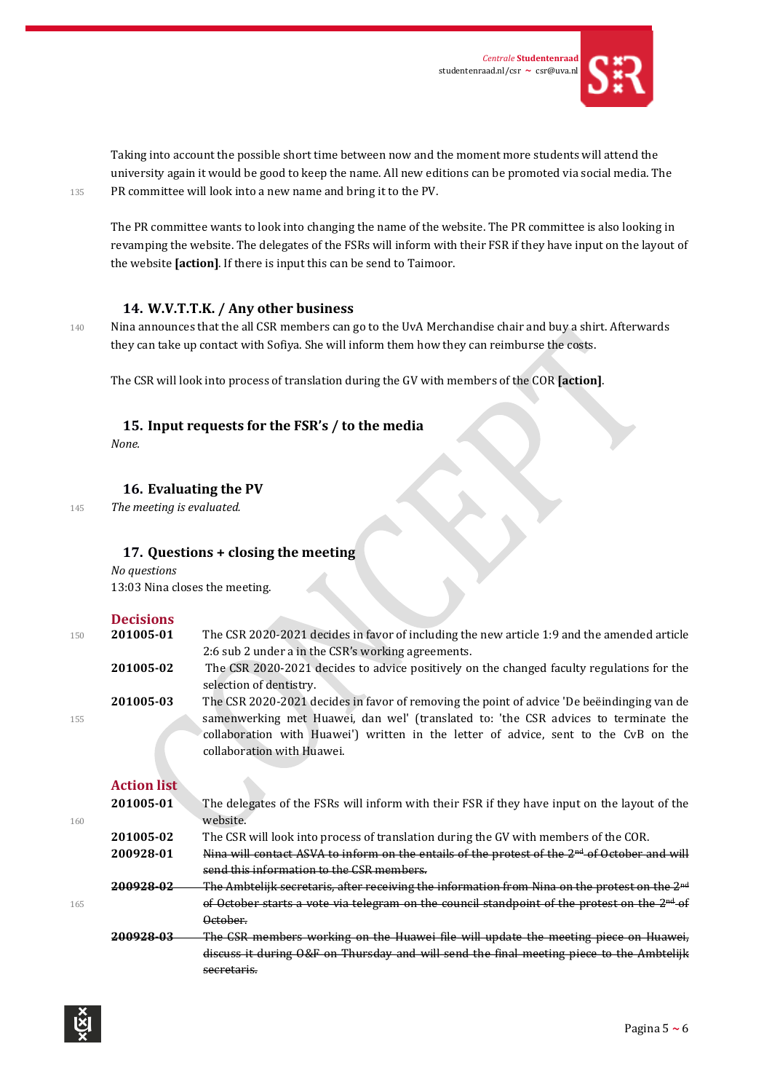

Taking into account the possible short time between now and the moment more students will attend the university again it would be good to keep the name. All new editions can be promoted via social media. The 135 PR committee will look into a new name and bring it to the PV.

The PR committee wants to look into changing the name of the website. The PR committee is also looking in revamping the website. The delegates of the FSRs will inform with their FSR if they have input on the layout of the website **[action]**. If there is input this can be send to Taimoor.

#### **14. W.V.T.T.K. / Any other business**

140 Nina announces that the all CSR members can go to the UvA Merchandise chair and buy a shirt. Afterwards they can take up contact with Sofiya. She will inform them how they can reimburse the costs.

The CSR will look into process of translation during the GV with members of the COR **[action]**.

#### **15. Input requests for the FSR's / to the media**

*None.*

#### **16. Evaluating the PV**

<sup>145</sup> *The meeting is evaluated.*

#### **17. Questions + closing the meeting**

#### *No questions* 13:03 Nina closes the meeting.

|     | <b>Decisions</b>   |                                                                                                           |
|-----|--------------------|-----------------------------------------------------------------------------------------------------------|
| 150 | 201005-01          | The CSR 2020-2021 decides in favor of including the new article 1:9 and the amended article               |
|     |                    | 2:6 sub 2 under a in the CSR's working agreements.                                                        |
|     | 201005-02          | The CSR 2020-2021 decides to advice positively on the changed faculty regulations for the                 |
|     |                    | selection of dentistry.                                                                                   |
|     | 201005-03          | The CSR 2020-2021 decides in favor of removing the point of advice 'De beendinging van de                 |
| 155 |                    | samenwerking met Huawei, dan wel' (translated to: 'the CSR advices to terminate the                       |
|     |                    | collaboration with Huawei') written in the letter of advice, sent to the CvB on the                       |
|     |                    | collaboration with Huawei.                                                                                |
|     |                    |                                                                                                           |
|     | <b>Action list</b> |                                                                                                           |
|     | 201005-01          | The delegates of the FSRs will inform with their FSR if they have input on the layout of the              |
| 160 |                    | website.                                                                                                  |
|     | 201005-02          | The CSR will look into process of translation during the GV with members of the COR.                      |
|     | 200928-01          | Nina will contact ASVA to inform on the entails of the protest of the 2 <sup>nd</sup> of October and will |
|     |                    | send this information to the CSR members.                                                                 |
|     | 200928-02          | The Ambtelijk secretaris, after receiving the information from Nina on the protest on the $2nd$           |
| 165 |                    | of October starts a vote via telegram on the council standpoint of the protest on the $2nd$ of            |
|     |                    | October.                                                                                                  |
|     | 200928-03          | The CSR members working on the Huawei file will update the meeting piece on Huawei,                       |
|     |                    | discuss it during O&F on Thursday and will send the final meeting piece to the Ambtelijk                  |
|     |                    | secretaris.                                                                                               |
|     |                    |                                                                                                           |